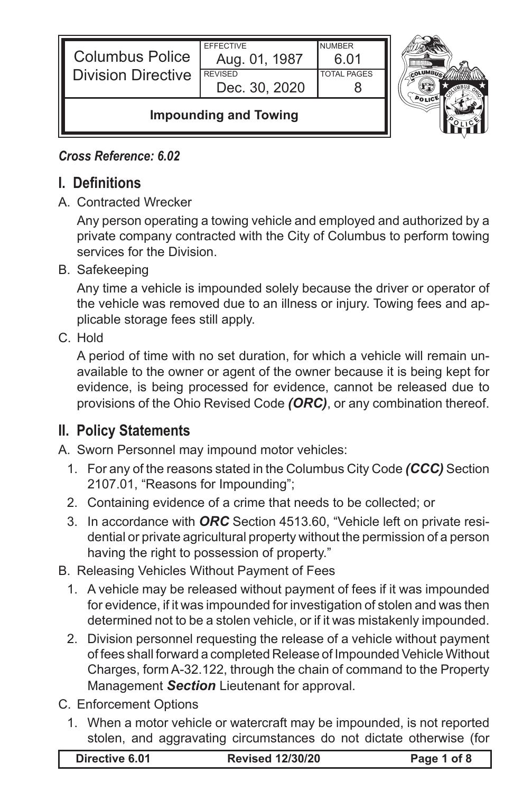| <b>Columbus Police</b><br><b>Division Directive</b> | <b>EFFECTIVE</b><br>Aug. 01, 1987<br><b>REVISED</b><br>Dec. 30, 2020 | <b>NUMBER</b><br>Ნ Ი1<br><b>TOTAL PAGES</b> |  |
|-----------------------------------------------------|----------------------------------------------------------------------|---------------------------------------------|--|
| <b>Impounding and Towing</b>                        |                                                                      |                                             |  |



## *Cross Reference: 6.02*

## **I. Definitions**

A. Contracted Wrecker

Any person operating a towing vehicle and employed and authorized by a private company contracted with the City of Columbus to perform towing services for the Division.

B. Safekeeping

Any time a vehicle is impounded solely because the driver or operator of the vehicle was removed due to an illness or injury. Towing fees and applicable storage fees still apply.

C. Hold

A period of time with no set duration, for which a vehicle will remain unavailable to the owner or agent of the owner because it is being kept for evidence, is being processed for evidence, cannot be released due to provisions of the Ohio Revised Code *(ORC)*, or any combination thereof.

## **II. Policy Statements**

A. Sworn Personnel may impound motor vehicles:

- 1. For any of the reasons stated in the Columbus City Code *(CCC)* Section 2107.01, "Reasons for Impounding";
- 2. Containing evidence of a crime that needs to be collected; or
- 3. In accordance with *ORC* Section 4513.60, "Vehicle left on private residential or private agricultural property without the permission of a person having the right to possession of property."
- B. Releasing Vehicles Without Payment of Fees
	- 1. A vehicle may be released without payment of fees if it was impounded for evidence, if it was impounded for investigation of stolen and was then determined not to be a stolen vehicle, or if it was mistakenly impounded.
	- 2. Division personnel requesting the release of a vehicle without payment of fees shall forward a completed Release of Impounded Vehicle Without Charges, form A-32.122, through the chain of command to the Property Management *Section* Lieutenant for approval.
- C. Enforcement Options
	- 1. When a motor vehicle or watercraft may be impounded, is not reported stolen, and aggravating circumstances do not dictate otherwise (for

|  | Directive 6.01 | <b>Revised 12/30/20</b> | Page 1 of 8 |
|--|----------------|-------------------------|-------------|
|--|----------------|-------------------------|-------------|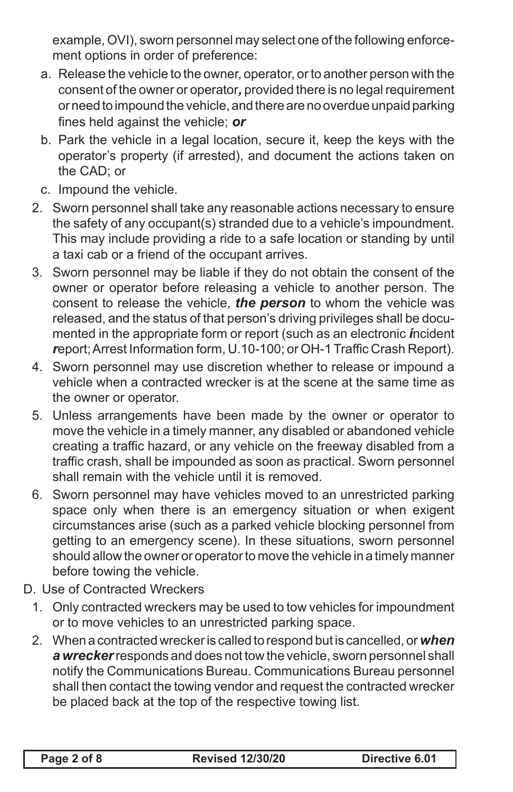example, OVI), sworn personnel may select one of the following enforcement options in order of preference:

- a. Release the vehicle to the owner, operator, or to another person with the consent of the owner or operator*,* provided there is no legal requirement or need to impound the vehicle, and there are no overdue unpaid parking fines held against the vehicle; *or*
- b. Park the vehicle in a legal location, secure it, keep the keys with the operator's property (if arrested), and document the actions taken on the CAD; or
- c. Impound the vehicle.
- 2. Sworn personnel shall take any reasonable actions necessary to ensure the safety of any occupant(s) stranded due to a vehicle's impoundment. This may include providing a ride to a safe location or standing by until a taxi cab or a friend of the occupant arrives.
- 3. Sworn personnel may be liable if they do not obtain the consent of the owner or operator before releasing a vehicle to another person. The consent to release the vehicle, *the person* to whom the vehicle was released, and the status of that person's driving privileges shall be documented in the appropriate form or report (such as an electronic *i*ncident *r*eport; Arrest Information form, U.10-100; or OH-1 Traffic Crash Report).
- 4. Sworn personnel may use discretion whether to release or impound a vehicle when a contracted wrecker is at the scene at the same time as the owner or operator.
- 5. Unless arrangements have been made by the owner or operator to move the vehicle in a timely manner, any disabled or abandoned vehicle creating a traffic hazard, or any vehicle on the freeway disabled from a traffic crash, shall be impounded as soon as practical. Sworn personnel shall remain with the vehicle until it is removed.
- 6. Sworn personnel may have vehicles moved to an unrestricted parking space only when there is an emergency situation or when exigent circumstances arise (such as a parked vehicle blocking personnel from getting to an emergency scene). In these situations, sworn personnel should allow the owner or operator to move the vehicle in a timely manner before towing the vehicle.
- D. Use of Contracted Wreckers
	- 1. Only contracted wreckers may be used to tow vehicles for impoundment or to move vehicles to an unrestricted parking space.
	- 2. When a contracted wrecker is called to respond but is cancelled, or *when a wrecker* responds and does not tow the vehicle, sworn personnel shall notify the Communications Bureau. Communications Bureau personnel shall then contact the towing vendor and request the contracted wrecker be placed back at the top of the respective towing list.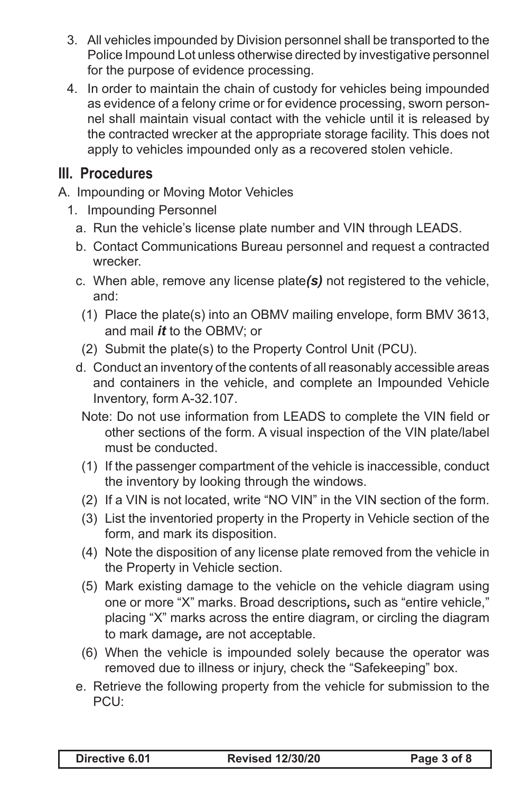- 3. All vehicles impounded by Division personnel shall be transported to the Police Impound Lot unless otherwise directed by investigative personnel for the purpose of evidence processing.
- 4. In order to maintain the chain of custody for vehicles being impounded as evidence of a felony crime or for evidence processing, sworn personnel shall maintain visual contact with the vehicle until it is released by the contracted wrecker at the appropriate storage facility. This does not apply to vehicles impounded only as a recovered stolen vehicle.

## **III. Procedures**

- A. Impounding or Moving Motor Vehicles
	- 1. Impounding Personnel
		- a. Run the vehicle's license plate number and VIN through LEADS.
		- b. Contact Communications Bureau personnel and request a contracted wrecker.
		- c. When able, remove any license plate*(s)* not registered to the vehicle, and:
		- (1) Place the plate(s) into an OBMV mailing envelope, form BMV 3613, and mail *it* to the OBMV; or
		- (2) Submit the plate(s) to the Property Control Unit (PCU).
		- d. Conduct an inventory of the contents of all reasonably accessible areas and containers in the vehicle, and complete an Impounded Vehicle Inventory, form A-32.107.
			- Note: Do not use information from LEADS to complete the VIN field or other sections of the form. A visual inspection of the VIN plate/label must be conducted.
			- (1) If the passenger compartment of the vehicle is inaccessible, conduct the inventory by looking through the windows.
			- (2) If a VIN is not located, write "NO VIN" in the VIN section of the form.
			- (3) List the inventoried property in the Property in Vehicle section of the form, and mark its disposition.
			- (4) Note the disposition of any license plate removed from the vehicle in the Property in Vehicle section.
			- (5) Mark existing damage to the vehicle on the vehicle diagram using one or more "X" marks. Broad descriptions*,* such as "entire vehicle," placing "X" marks across the entire diagram, or circling the diagram to mark damage*,* are not acceptable.
			- (6) When the vehicle is impounded solely because the operator was removed due to illness or injury, check the "Safekeeping" box.
		- e. Retrieve the following property from the vehicle for submission to the PCU: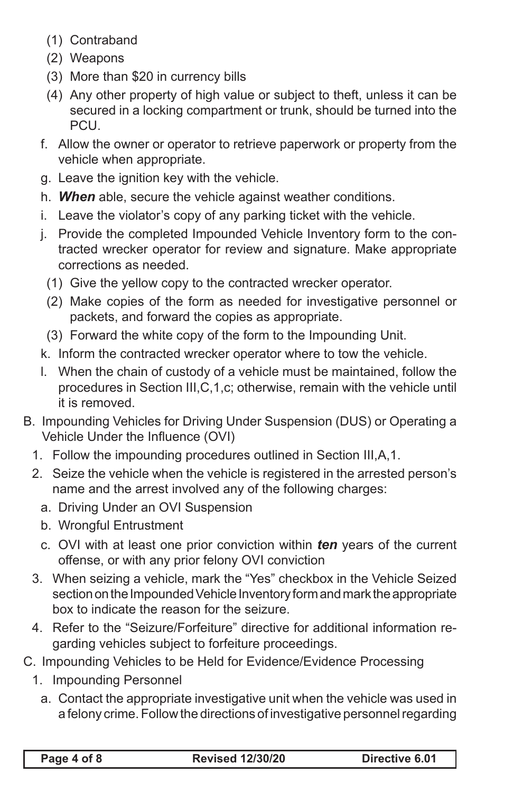- (1) Contraband
- (2) Weapons
- (3) More than \$20 in currency bills
- (4) Any other property of high value or subject to theft, unless it can be secured in a locking compartment or trunk, should be turned into the **PCU.**
- f. Allow the owner or operator to retrieve paperwork or property from the vehicle when appropriate.
- g. Leave the ignition key with the vehicle.
- h. *When* able, secure the vehicle against weather conditions.
- i. Leave the violator's copy of any parking ticket with the vehicle.
- j. Provide the completed Impounded Vehicle Inventory form to the contracted wrecker operator for review and signature. Make appropriate corrections as needed.
	- (1) Give the yellow copy to the contracted wrecker operator.
	- (2) Make copies of the form as needed for investigative personnel or packets, and forward the copies as appropriate.
	- (3) Forward the white copy of the form to the Impounding Unit.
- k. Inform the contracted wrecker operator where to tow the vehicle.
- l. When the chain of custody of a vehicle must be maintained, follow the procedures in Section III,C,1,c; otherwise, remain with the vehicle until it is removed.
- B. Impounding Vehicles for Driving Under Suspension (DUS) or Operating a Vehicle Under the Influence (OVI)
	- 1. Follow the impounding procedures outlined in Section III,A,1.
	- 2. Seize the vehicle when the vehicle is registered in the arrested person's name and the arrest involved any of the following charges:
		- a. Driving Under an OVI Suspension
		- b. Wrongful Entrustment
		- c. OVI with at least one prior conviction within *ten* years of the current offense, or with any prior felony OVI conviction
	- 3. When seizing a vehicle, mark the "Yes" checkbox in the Vehicle Seized section on the Impounded Vehicle Inventory form and mark the appropriate box to indicate the reason for the seizure.
	- 4. Refer to the "Seizure/Forfeiture" directive for additional information regarding vehicles subject to forfeiture proceedings.
- C. Impounding Vehicles to be Held for Evidence/Evidence Processing
	- 1. Impounding Personnel
		- a. Contact the appropriate investigative unit when the vehicle was used in a felony crime. Follow the directions of investigative personnel regarding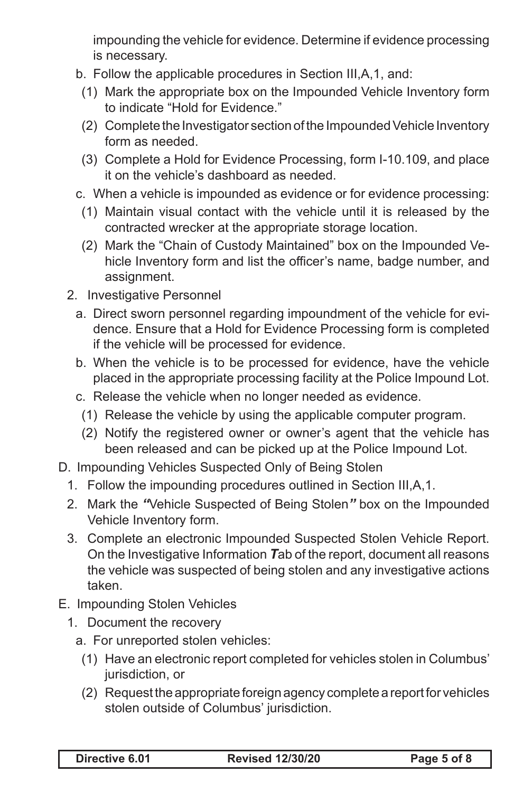impounding the vehicle for evidence. Determine if evidence processing is necessary.

- b. Follow the applicable procedures in Section III,A,1, and:
	- (1) Mark the appropriate box on the Impounded Vehicle Inventory form to indicate "Hold for Evidence."
	- (2) Complete the Investigator section of the Impounded Vehicle Inventory form as needed.
- (3) Complete a Hold for Evidence Processing, form I-10.109, and place it on the vehicle's dashboard as needed.
- c. When a vehicle is impounded as evidence or for evidence processing:
	- (1) Maintain visual contact with the vehicle until it is released by the contracted wrecker at the appropriate storage location.
	- (2) Mark the "Chain of Custody Maintained" box on the Impounded Vehicle Inventory form and list the officer's name, badge number, and assignment.
- 2. Investigative Personnel
	- a. Direct sworn personnel regarding impoundment of the vehicle for evidence. Ensure that a Hold for Evidence Processing form is completed if the vehicle will be processed for evidence.
	- b. When the vehicle is to be processed for evidence, have the vehicle placed in the appropriate processing facility at the Police Impound Lot.
	- c. Release the vehicle when no longer needed as evidence.
		- (1) Release the vehicle by using the applicable computer program.
		- (2) Notify the registered owner or owner's agent that the vehicle has been released and can be picked up at the Police Impound Lot.
- D. Impounding Vehicles Suspected Only of Being Stolen
	- 1. Follow the impounding procedures outlined in Section III,A,1.
	- 2. Mark the *"*Vehicle Suspected of Being Stolen*"* box on the Impounded Vehicle Inventory form.
	- 3. Complete an electronic Impounded Suspected Stolen Vehicle Report. On the Investigative Information *T*ab of the report, document all reasons the vehicle was suspected of being stolen and any investigative actions taken.
- E. Impounding Stolen Vehicles
	- 1. Document the recovery
		- a. For unreported stolen vehicles:
			- (1) Have an electronic report completed for vehicles stolen in Columbus' jurisdiction, or
			- (2) Request the appropriate foreign agency complete a report for vehicles stolen outside of Columbus' jurisdiction.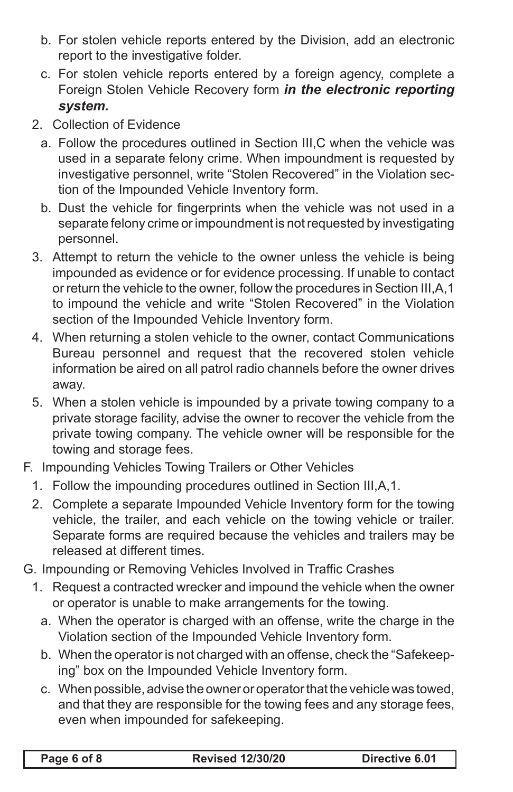- b. For stolen vehicle reports entered by the Division, add an electronic report to the investigative folder.
- c. For stolen vehicle reports entered by a foreign agency, complete a Foreign Stolen Vehicle Recovery form *in the electronic reporting system.*
- 2. Collection of Evidence
	- a. Follow the procedures outlined in Section III,C when the vehicle was used in a separate felony crime. When impoundment is requested by investigative personnel, write "Stolen Recovered" in the Violation section of the Impounded Vehicle Inventory form.
	- b. Dust the vehicle for fingerprints when the vehicle was not used in a separate felony crime or impoundment is not requested by investigating personnel.
- 3. Attempt to return the vehicle to the owner unless the vehicle is being impounded as evidence or for evidence processing. If unable to contact or return the vehicle to the owner, follow the procedures in Section III,A,1 to impound the vehicle and write "Stolen Recovered" in the Violation section of the Impounded Vehicle Inventory form.
- 4. When returning a stolen vehicle to the owner, contact Communications Bureau personnel and request that the recovered stolen vehicle information be aired on all patrol radio channels before the owner drives away.
- 5. When a stolen vehicle is impounded by a private towing company to a private storage facility, advise the owner to recover the vehicle from the private towing company. The vehicle owner will be responsible for the towing and storage fees.
- F. Impounding Vehicles Towing Trailers or Other Vehicles
	- 1. Follow the impounding procedures outlined in Section III,A,1.
	- 2. Complete a separate Impounded Vehicle Inventory form for the towing vehicle, the trailer, and each vehicle on the towing vehicle or trailer. Separate forms are required because the vehicles and trailers may be released at different times.
- G. Impounding or Removing Vehicles Involved in Traffic Crashes
	- 1. Request a contracted wrecker and impound the vehicle when the owner or operator is unable to make arrangements for the towing.
		- a. When the operator is charged with an offense, write the charge in the Violation section of the Impounded Vehicle Inventory form.
		- b. When the operator is not charged with an offense, check the "Safekeeping" box on the Impounded Vehicle Inventory form.
		- c. When possible, advise the owner or operator that the vehicle was towed, and that they are responsible for the towing fees and any storage fees, even when impounded for safekeeping.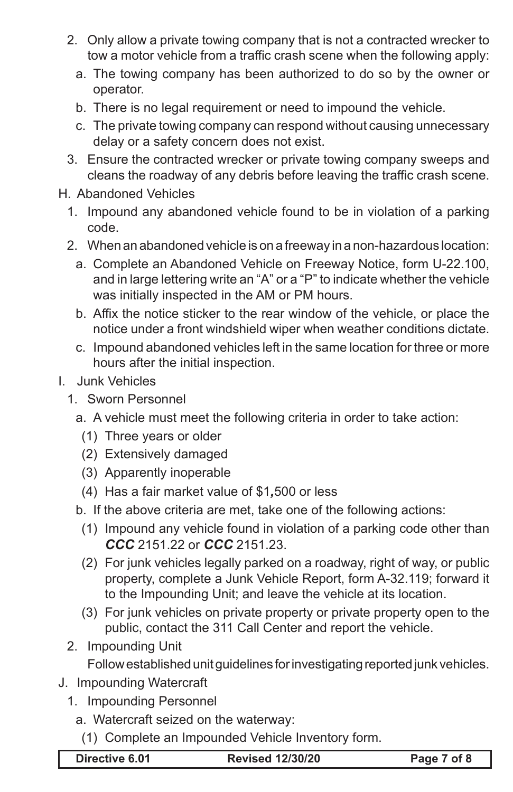- 2. Only allow a private towing company that is not a contracted wrecker to tow a motor vehicle from a traffic crash scene when the following apply:
	- a. The towing company has been authorized to do so by the owner or operator.
	- b. There is no legal requirement or need to impound the vehicle.
	- c. The private towing company can respond without causing unnecessary delay or a safety concern does not exist.
- 3. Ensure the contracted wrecker or private towing company sweeps and cleans the roadway of any debris before leaving the traffic crash scene.
- H. Abandoned Vehicles
	- 1. Impound any abandoned vehicle found to be in violation of a parking code.
	- 2. When an abandoned vehicle is on a freeway in a non-hazardous location:
		- a. Complete an Abandoned Vehicle on Freeway Notice, form U-22.100, and in large lettering write an "A" or a "P" to indicate whether the vehicle was initially inspected in the AM or PM hours.
		- b. Affix the notice sticker to the rear window of the vehicle, or place the notice under a front windshield wiper when weather conditions dictate.
		- c. Impound abandoned vehicles left in the same location for three or more hours after the initial inspection.
- I. Junk Vehicles
	- 1. Sworn Personnel
		- a. A vehicle must meet the following criteria in order to take action:
			- (1) Three years or older
			- (2) Extensively damaged
			- (3) Apparently inoperable
			- (4) Has a fair market value of \$1*,*500 or less
		- b. If the above criteria are met, take one of the following actions:
		- (1) Impound any vehicle found in violation of a parking code other than *CCC* 2151.22 or *CCC* 2151.23.
		- (2) For junk vehicles legally parked on a roadway, right of way, or public property, complete a Junk Vehicle Report, form A-32.119; forward it to the Impounding Unit; and leave the vehicle at its location.
		- (3) For junk vehicles on private property or private property open to the public, contact the 311 Call Center and report the vehicle.
	- 2. Impounding Unit

Follow established unit guidelines for investigating reported junk vehicles.

- J. Impounding Watercraft
	- 1. Impounding Personnel
		- a. Watercraft seized on the waterway:
			- (1) Complete an Impounded Vehicle Inventory form.

**Directive 6.01 Revised 12/30/20 Page 7 of 8**